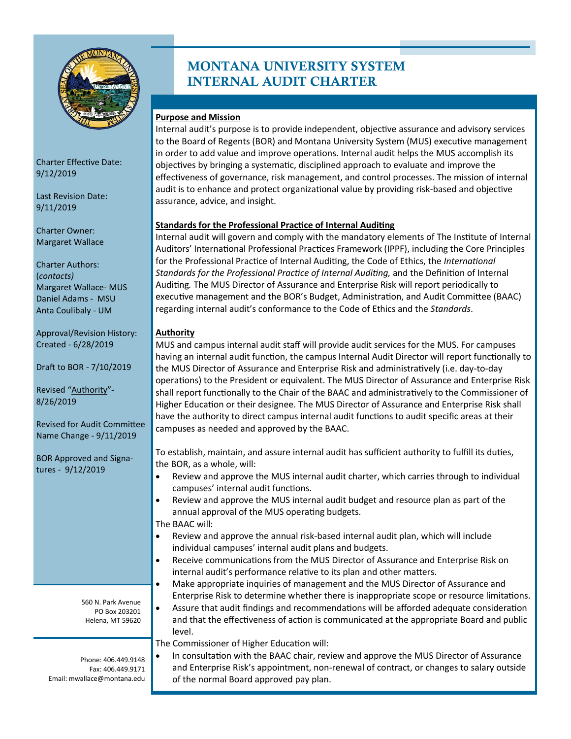

Charter Effective Date: 9/12/2019

Last Revision Date: 9/11/2019

Charter Owner: Margaret Wallace

Charter Authors: (*contacts)* Margaret Wallace- MUS Daniel Adams - MSU Anta Coulibaly - UM

Approval/Revision History: Created - 6/28/2019

Draft to BOR - 7/10/2019

Revised "Authority"- 8/26/2019

Revised for Audit Committee Name Change - 9/11/2019

BOR Approved and Signatures - 9/12/2019

> 560 N. Park Avenue PO Box 203201 Helena, MT 59620

Phone: 406.449.9148 Fax: 406.449.9171 Email: mwallace@montana.edu

# MONTANA UNIVERSITY SYSTEM INTERNAL AUDIT CHARTER

### **Purpose and Mission**

Internal audit's purpose is to provide independent, objective assurance and advisory services to the Board of Regents (BOR) and Montana University System (MUS) executive management in order to add value and improve operations. Internal audit helps the MUS accomplish its objectives by bringing a systematic, disciplined approach to evaluate and improve the effectiveness of governance, risk management, and control processes. The mission of internal audit is to enhance and protect organizational value by providing risk-based and objective assurance, advice, and insight.

#### **Standards for the Professional Practice of Internal Auditing**

Internal audit will govern and comply with the mandatory elements of The Institute of Internal Auditors' International Professional Practices Framework (IPPF), including the Core Principles for the Professional Practice of Internal Auditing, the Code of Ethics, the *International Standards for the Professional Practice of Internal Auditing,* and the Definition of Internal Auditing*.* The MUS Director of Assurance and Enterprise Risk will report periodically to executive management and the BOR's Budget, Administration, and Audit Committee (BAAC) regarding internal audit's conformance to the Code of Ethics and the *Standards*.

# **Authority**

MUS and campus internal audit staff will provide audit services for the MUS. For campuses having an internal audit function, the campus Internal Audit Director will report functionally to the MUS Director of Assurance and Enterprise Risk and administratively (i.e. day-to-day operations) to the President or equivalent. The MUS Director of Assurance and Enterprise Risk shall report functionally to the Chair of the BAAC and administratively to the Commissioner of Higher Education or their designee. The MUS Director of Assurance and Enterprise Risk shall have the authority to direct campus internal audit functions to audit specific areas at their campuses as needed and approved by the BAAC.

To establish, maintain, and assure internal audit has sufficient authority to fulfill its duties, the BOR, as a whole, will:

- Review and approve the MUS internal audit charter, which carries through to individual campuses' internal audit functions.
- Review and approve the MUS internal audit budget and resource plan as part of the annual approval of the MUS operating budgets.
- The BAAC will:
- Review and approve the annual risk-based internal audit plan, which will include individual campuses' internal audit plans and budgets.
- Receive communications from the MUS Director of Assurance and Enterprise Risk on internal audit's performance relative to its plan and other matters.
- Make appropriate inquiries of management and the MUS Director of Assurance and Enterprise Risk to determine whether there is inappropriate scope or resource limitations.
- Assure that audit findings and recommendations will be afforded adequate consideration and that the effectiveness of action is communicated at the appropriate Board and public level.

The Commissioner of Higher Education will:

• In consultation with the BAAC chair, review and approve the MUS Director of Assurance and Enterprise Risk's appointment, non-renewal of contract, or changes to salary outside of the normal Board approved pay plan.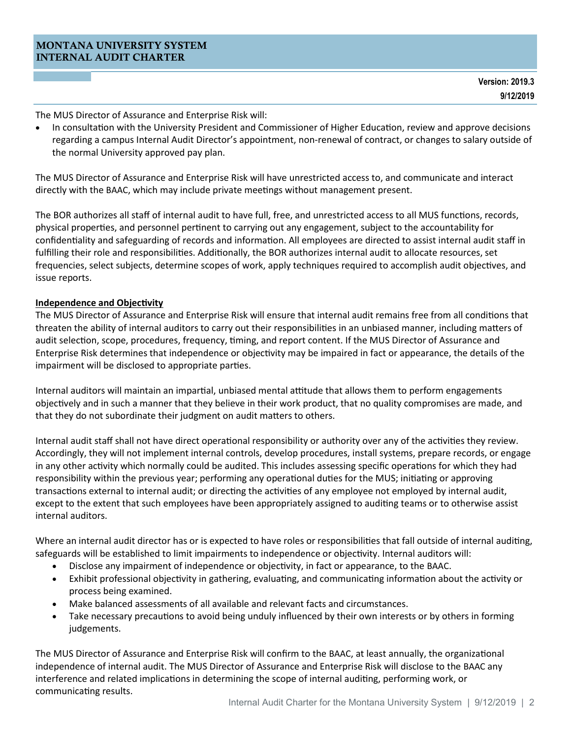The MUS Director of Assurance and Enterprise Risk will:

• In consultation with the University President and Commissioner of Higher Education, review and approve decisions regarding a campus Internal Audit Director's appointment, non-renewal of contract, or changes to salary outside of the normal University approved pay plan.

The MUS Director of Assurance and Enterprise Risk will have unrestricted access to, and communicate and interact directly with the BAAC, which may include private meetings without management present.

The BOR authorizes all staff of internal audit to have full, free, and unrestricted access to all MUS functions, records, physical properties, and personnel pertinent to carrying out any engagement, subject to the accountability for confidentiality and safeguarding of records and information. All employees are directed to assist internal audit staff in fulfilling their role and responsibilities. Additionally, the BOR authorizes internal audit to allocate resources, set frequencies, select subjects, determine scopes of work, apply techniques required to accomplish audit objectives, and issue reports.

#### **Independence and Objectivity**

The MUS Director of Assurance and Enterprise Risk will ensure that internal audit remains free from all conditions that threaten the ability of internal auditors to carry out their responsibilities in an unbiased manner, including matters of audit selection, scope, procedures, frequency, timing, and report content. If the MUS Director of Assurance and Enterprise Risk determines that independence or objectivity may be impaired in fact or appearance, the details of the impairment will be disclosed to appropriate parties.

Internal auditors will maintain an impartial, unbiased mental attitude that allows them to perform engagements objectively and in such a manner that they believe in their work product, that no quality compromises are made, and that they do not subordinate their judgment on audit matters to others.

Internal audit staff shall not have direct operational responsibility or authority over any of the activities they review. Accordingly, they will not implement internal controls, develop procedures, install systems, prepare records, or engage in any other activity which normally could be audited. This includes assessing specific operations for which they had responsibility within the previous year; performing any operational duties for the MUS; initiating or approving transactions external to internal audit; or directing the activities of any employee not employed by internal audit, except to the extent that such employees have been appropriately assigned to auditing teams or to otherwise assist internal auditors.

Where an internal audit director has or is expected to have roles or responsibilities that fall outside of internal auditing, safeguards will be established to limit impairments to independence or objectivity. Internal auditors will:

- Disclose any impairment of independence or objectivity, in fact or appearance, to the BAAC.
- Exhibit professional objectivity in gathering, evaluating, and communicating information about the activity or process being examined.
- Make balanced assessments of all available and relevant facts and circumstances.
- Take necessary precautions to avoid being unduly influenced by their own interests or by others in forming judgements.

The MUS Director of Assurance and Enterprise Risk will confirm to the BAAC, at least annually, the organizational independence of internal audit. The MUS Director of Assurance and Enterprise Risk will disclose to the BAAC any interference and related implications in determining the scope of internal auditing, performing work, or communicating results.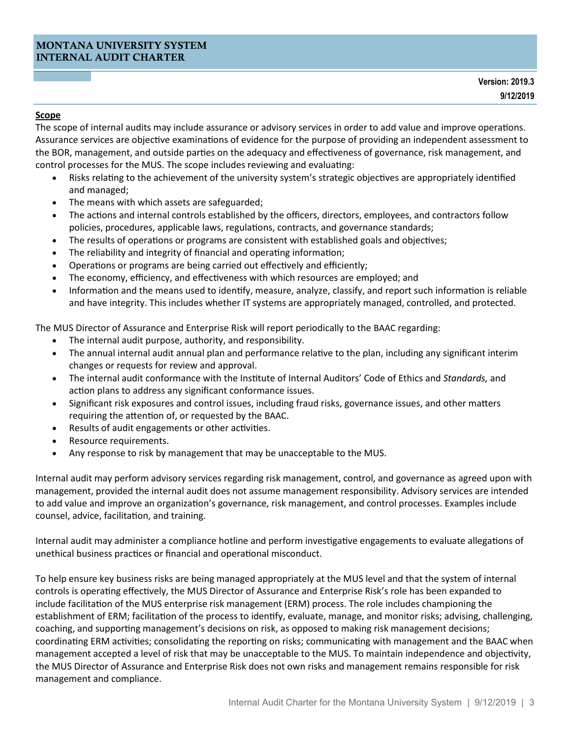#### **Scope**

The scope of internal audits may include assurance or advisory services in order to add value and improve operations. Assurance services are objective examinations of evidence for the purpose of providing an independent assessment to the BOR, management, and outside parties on the adequacy and effectiveness of governance, risk management, and control processes for the MUS. The scope includes reviewing and evaluating:

- Risks relating to the achievement of the university system's strategic objectives are appropriately identified and managed;
- The means with which assets are safeguarded;
- The actions and internal controls established by the officers, directors, employees, and contractors follow policies, procedures, applicable laws, regulations, contracts, and governance standards;
- The results of operations or programs are consistent with established goals and objectives;
- The reliability and integrity of financial and operating information;
- Operations or programs are being carried out effectively and efficiently;
- The economy, efficiency, and effectiveness with which resources are employed; and
- Information and the means used to identify, measure, analyze, classify, and report such information is reliable and have integrity. This includes whether IT systems are appropriately managed, controlled, and protected.

The MUS Director of Assurance and Enterprise Risk will report periodically to the BAAC regarding:

- The internal audit purpose, authority, and responsibility.
- The annual internal audit annual plan and performance relative to the plan, including any significant interim changes or requests for review and approval.
- The internal audit conformance with the Institute of Internal Auditors' Code of Ethics and *Standards,* and action plans to address any significant conformance issues.
- Significant risk exposures and control issues, including fraud risks, governance issues, and other matters requiring the attention of, or requested by the BAAC.
- Results of audit engagements or other activities.
- Resource requirements.
- Any response to risk by management that may be unacceptable to the MUS.

Internal audit may perform advisory services regarding risk management, control, and governance as agreed upon with management, provided the internal audit does not assume management responsibility. Advisory services are intended to add value and improve an organization's governance, risk management, and control processes. Examples include counsel, advice, facilitation, and training.

Internal audit may administer a compliance hotline and perform investigative engagements to evaluate allegations of unethical business practices or financial and operational misconduct.

To help ensure key business risks are being managed appropriately at the MUS level and that the system of internal controls is operating effectively, the MUS Director of Assurance and Enterprise Risk's role has been expanded to include facilitation of the MUS enterprise risk management (ERM) process. The role includes championing the establishment of ERM; facilitation of the process to identify, evaluate, manage, and monitor risks; advising, challenging, coaching, and supporting management's decisions on risk, as opposed to making risk management decisions; coordinating ERM activities; consolidating the reporting on risks; communicating with management and the BAAC when management accepted a level of risk that may be unacceptable to the MUS. To maintain independence and objectivity, the MUS Director of Assurance and Enterprise Risk does not own risks and management remains responsible for risk management and compliance.